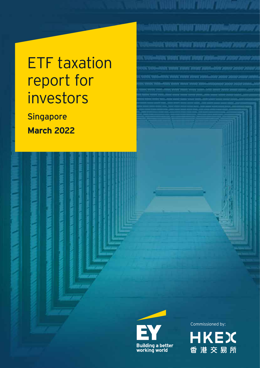# ETF taxation report for investors

**Singapore March 2022**



Commissioned by:

<u>INICYANT NANT NANT ZANIMI SOON</u>

NA DIALA HENY DIAN'I PARASARY 200

ANTONE VARIED ET VRUANT DRAMAT LIGIONALISTICI ZICHING ZIO

.<br>2010. maja tahun maja 2010–2012.

(ACAALACHAAN/ATANG/2004-ATAN/2008)

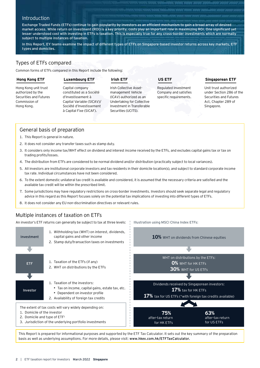# **Introduction**

Exchange Traded Funds (ETFs) continue to gain popularity by investors as an efficient mechanism to gain a broad array of desired market access. While return on investment (ROI) is a key priority, costs play an important role in maximizing ROI. One significant yet lesser understood cost with investing in ETFs is taxation. This is especially true for any cross-border investments which are normally subject to multiple instances of taxation.

In this Report, EY teams examine the impact of different types of ETFs on Singapore-based investor returns across key markets, ETF types and domiciles.

# Types of ETFs compared

Common forms of ETFs compared in this Report include the following:

#### **Hong Kong ETF**

#### **Luxembourg ETF**

# **Irish ETF**

Hong Kong unit trust authorized by the Securities and Futures Commission of Hong Kong.

Capital company constituted as a Société d'Investissement à Capital Variable (SICAV)/ Société d'Investissement à Capital Fixe (SICAF).

Irish Collective Assetmanagement Vehicle (ICAV) authorized as an Undertaking for Collective Investment in Transferable Securities (UCITS).

**US ETF**

Illustration using MSCI China Index ETFs:

Regulated Investment Company and satisfies specific requirements.

## **Singaporean ETF**

Unit trust authorized under Section 286 of the Securities and Futures Act, Chapter 289 of Singapore.

# General basis of preparation

- 1. This Report is general in nature.
- 2. It does not consider any transfer taxes such as stamp duty.
- 3. It considers only income tax/WHT effect on dividend and interest income received by the ETFs, and excludes capital gains tax or tax on trading profits/losses.
- 4. The distribution from ETFs are considered to be normal dividend and/or distribution (practically subject to local variances).
- 5. All investors are institutional corporate investors and tax residents in their domicile location(s), and subject to standard corporate income tax rate. Individual circumstances have not been considered.
- 6. To the extent domestic unilateral tax credit is available and considered, it is assumed that the necessary criteria are satisfied and the available tax credit will be within the prescribed limit.
- 7. Some jurisdictions may have regulatory restrictions on cross-border investments. Investors should seek separate legal and regulatory advice in this regard as this Report focuses solely on the potential tax implications of investing into different types of ETFs.
- 8. It does not consider any EU non-discrimination directives or relevant rules.

# Multiple instances of taxation on ETFs

An investor's ETF returns can generally be subject to tax at three levels:



This Report is prepared for informational purposes and supported by the ETF Tax Calculator. It sets out the key summary of the preparation basis as well as underlying assumptions. For more details, please visit: www.hkex.com.hk/ETFTaxCalculator.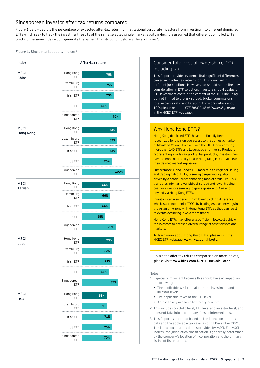# Singaporean investor after-tax returns compared

Figure 1 below depicts the percentage of expected after-tax return for institutional corporate investors from investing into different domiciled ETFs which seek to track the investment results of the same selected single market equity index. It is assumed that different domiciled ETFs tracking the same index would generate the same ETF distribution before all level of taxes<sup>2</sup>.

#### Figure 1. Single market equity indices<sup>3</sup>



# Consider total cost of ownership (TCO) including tax

This Report provides evidence that significant differences can arise in after-tax returns for ETFs domiciled in different jurisdictions. However, tax should not be the only consideration in ETF selection. Investors should evaluate ETF investment costs in the context of the TCO, including but not limited to bid-ask spread, broker commissions, total expense ratio and taxation. For more details about TCO, please read the *ETF Total Cost of Ownership primer* in the HKEX ETF webpage.

# Why Hong Kong ETFs?

Hong Kong domiciled ETFs have traditionally been recognized for their unique access to the domestic market of Mainland China. However, with the HKEX now carrying more than 140 ETFs and Leveraged and Inverse Products representing a wide range of global products, investors now have an enhanced ability to use Hong Kong ETFs to achieve their desired market exposures.

Furthermore, Hong Kong's ETF market, as a regional issuing and trading hub of ETFs, is seeing deepening liquidity driven by a continuously enhancing market structure. This translates into narrower bid-ask spread and lower trading cost for investors seeking to gain exposure to Asia and beyond via Hong Kong ETFs.

Investors can also benefit from lower tracking difference, which is a component of TCO, by trading Asia underlyings in the Asian time zone with Hong Kong ETFs as they can react to events occurring in Asia more timely.

Hong Kong ETFs may offer a tax-efficient, low-cost vehicle for investors to access a diverse range of asset classes and markets.

To learn more about Hong Kong ETFs, please visit the HKEX ETF webpage www.hkex.com.hk/etp.

To see the after-tax returns comparison on more indices, please visit: www.hkex.com.hk/ETFTaxCalculator.

#### Notes:

- 1. Especially important because this should have an impact on the following:
	- The applicable WHT rate at both the investment and investor levels
	- The applicable taxes at the ETF level
	- Access to any available tax treaty benefits
- 2. This includes portfolio level, ETF level and investor level, and does not take into account any fees to intermediates.
- 3. This Report is prepared based on the index constituents data and the applicable tax rates as of 31 December 2021. The index constituents data is provided by MSCI. For MSCI indices, the jurisdiction classification is generally determined by the company's location of incorporation and the primary listing of its securities.